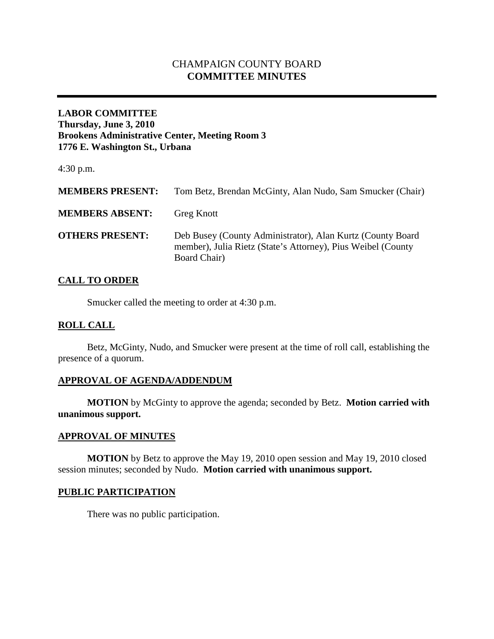# CHAMPAIGN COUNTY BOARD **COMMITTEE MINUTES**

# **LABOR COMMITTEE Thursday, June 3, 2010 Brookens Administrative Center, Meeting Room 3 1776 E. Washington St., Urbana**

4:30 p.m.

| <b>MEMBERS PRESENT:</b> | Tom Betz, Brendan McGinty, Alan Nudo, Sam Smucker (Chair)                                                                                  |
|-------------------------|--------------------------------------------------------------------------------------------------------------------------------------------|
| <b>MEMBERS ABSENT:</b>  | <b>Greg Knott</b>                                                                                                                          |
| <b>OTHERS PRESENT:</b>  | Deb Busey (County Administrator), Alan Kurtz (County Board<br>member), Julia Rietz (State's Attorney), Pius Weibel (County<br>Board Chair) |

#### **CALL TO ORDER**

Smucker called the meeting to order at 4:30 p.m.

## **ROLL CALL**

Betz, McGinty, Nudo, and Smucker were present at the time of roll call, establishing the presence of a quorum.

## **APPROVAL OF AGENDA/ADDENDUM**

**MOTION** by McGinty to approve the agenda; seconded by Betz. **Motion carried with unanimous support.**

## **APPROVAL OF MINUTES**

**MOTION** by Betz to approve the May 19, 2010 open session and May 19, 2010 closed session minutes; seconded by Nudo. **Motion carried with unanimous support.**

# **PUBLIC PARTICIPATION**

There was no public participation.